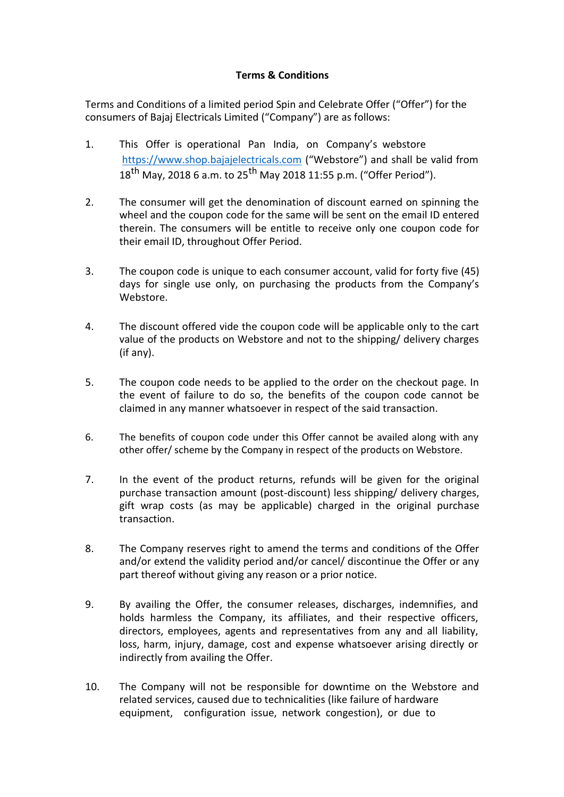## **Terms & Conditions**

Terms and Conditions of a limited period Spin and Celebrate Offer ("Offer") for the consumers of Bajaj Electricals Limited ("Company") are as follows:

- 1. This Offer is operational Pan India, on Company's webstore [https://www.shop.bajajelectricals.com](https://www.shop.bajajelectricals.com/) ("Webstore") and shall be valid from  $18^{th}$  May, 2018 6 a.m. to 25<sup>th</sup> May 2018 11:55 p.m. ("Offer Period").
- 2. The consumer will get the denomination of discount earned on spinning the wheel and the coupon code for the same will be sent on the email ID entered therein. The consumers will be entitle to receive only one coupon code for their email ID, throughout Offer Period.
- 3. The coupon code is unique to each consumer account, valid for forty five (45) days for single use only, on purchasing the products from the Company's Webstore.
- 4. The discount offered vide the coupon code will be applicable only to the cart value of the products on Webstore and not to the shipping/ delivery charges (if any).
- 5. The coupon code needs to be applied to the order on the checkout page. In the event of failure to do so, the benefits of the coupon code cannot be claimed in any manner whatsoever in respect of the said transaction.
- 6. The benefits of coupon code under this Offer cannot be availed along with any other offer/ scheme by the Company in respect of the products on Webstore.
- 7. In the event of the product returns, refunds will be given for the original purchase transaction amount (post-discount) less shipping/ delivery charges, gift wrap costs (as may be applicable) charged in the original purchase transaction.
- 8. The Company reserves right to amend the terms and conditions of the Offer and/or extend the validity period and/or cancel/ discontinue the Offer or any part thereof without giving any reason or a prior notice.
- 9. By availing the Offer, the consumer releases, discharges, indemnifies, and holds harmless the Company, its affiliates, and their respective officers, directors, employees, agents and representatives from any and all liability, loss, harm, injury, damage, cost and expense whatsoever arising directly or indirectly from availing the Offer.
- 10. The Company will not be responsible for downtime on the Webstore and related services, caused due to technicalities (like failure of hardware equipment, configuration issue, network congestion), or due to